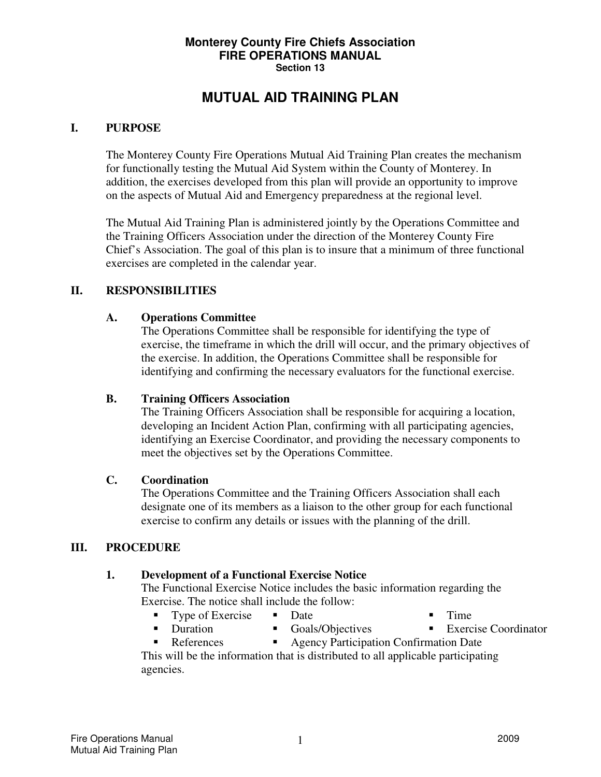#### **Monterey County Fire Chiefs Association FIRE OPERATIONS MANUAL Section 13**

## **MUTUAL AID TRAINING PLAN**

#### **I. PURPOSE**

The Monterey County Fire Operations Mutual Aid Training Plan creates the mechanism for functionally testing the Mutual Aid System within the County of Monterey. In addition, the exercises developed from this plan will provide an opportunity to improve on the aspects of Mutual Aid and Emergency preparedness at the regional level.

The Mutual Aid Training Plan is administered jointly by the Operations Committee and the Training Officers Association under the direction of the Monterey County Fire Chief's Association. The goal of this plan is to insure that a minimum of three functional exercises are completed in the calendar year.

#### **II. RESPONSIBILITIES**

#### **A. Operations Committee**

The Operations Committee shall be responsible for identifying the type of exercise, the timeframe in which the drill will occur, and the primary objectives of the exercise. In addition, the Operations Committee shall be responsible for identifying and confirming the necessary evaluators for the functional exercise.

#### **B. Training Officers Association**

The Training Officers Association shall be responsible for acquiring a location, developing an Incident Action Plan, confirming with all participating agencies, identifying an Exercise Coordinator, and providing the necessary components to meet the objectives set by the Operations Committee.

#### **C. Coordination**

The Operations Committee and the Training Officers Association shall each designate one of its members as a liaison to the other group for each functional exercise to confirm any details or issues with the planning of the drill.

#### **III. PROCEDURE**

#### **1. Development of a Functional Exercise Notice**

The Functional Exercise Notice includes the basic information regarding the Exercise. The notice shall include the follow:

- Type of Exercise Date Time
	-
- 
- **Duration Goals/Objectives Exercise Coordinator**
- References Agency Participation Confirmation Date

This will be the information that is distributed to all applicable participating agencies.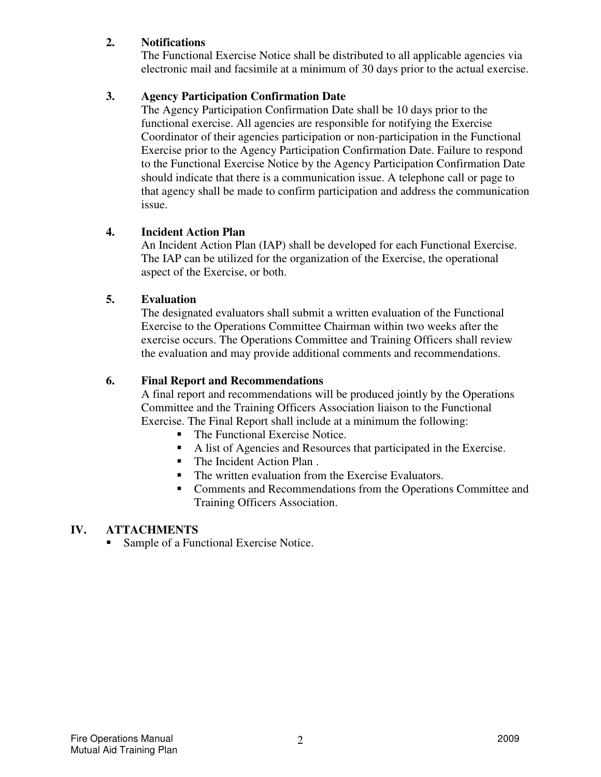### **2. Notifications**

The Functional Exercise Notice shall be distributed to all applicable agencies via electronic mail and facsimile at a minimum of 30 days prior to the actual exercise.

## **3. Agency Participation Confirmation Date**

The Agency Participation Confirmation Date shall be 10 days prior to the functional exercise. All agencies are responsible for notifying the Exercise Coordinator of their agencies participation or non-participation in the Functional Exercise prior to the Agency Participation Confirmation Date. Failure to respond to the Functional Exercise Notice by the Agency Participation Confirmation Date should indicate that there is a communication issue. A telephone call or page to that agency shall be made to confirm participation and address the communication issue.

## **4. Incident Action Plan**

An Incident Action Plan (IAP) shall be developed for each Functional Exercise. The IAP can be utilized for the organization of the Exercise, the operational aspect of the Exercise, or both.

## **5. Evaluation**

The designated evaluators shall submit a written evaluation of the Functional Exercise to the Operations Committee Chairman within two weeks after the exercise occurs. The Operations Committee and Training Officers shall review the evaluation and may provide additional comments and recommendations.

## **6. Final Report and Recommendations**

A final report and recommendations will be produced jointly by the Operations Committee and the Training Officers Association liaison to the Functional Exercise. The Final Report shall include at a minimum the following:

- The Functional Exercise Notice.
- A list of Agencies and Resources that participated in the Exercise.<br>The Incident Action Plan
- The Incident Action Plan .
- The written evaluation from the Exercise Evaluators.
- **EXECOMMENT COMMENTS** Comments and Recommendations from the Operations Committee and Training Officers Association.

## **IV. ATTACHMENTS**

■ Sample of a Functional Exercise Notice.